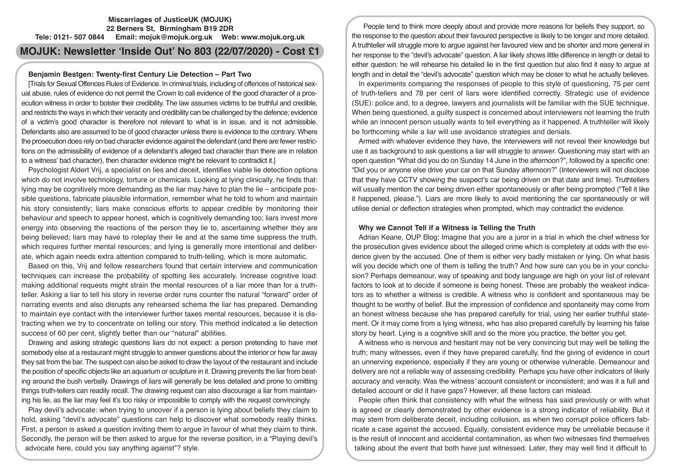# **Miscarriages of JusticeUK (MOJUK) 22 Berners St, Birmingham B19 2DR Tele: 0121- 507 0844 Email: mojuk@mojuk.org.uk Web: www.mojuk.org.uk**

# **MOJUK: Newsletter 'Inside Out' No 803 (22/07/2020) - Cost £1**

# **Benjamin Bestgen: Twenty-first Century Lie Detection – Part Two**

[Trials for Sexual Offences Rules of Evidence. In criminal trials, including of offences of historical sexual abuse, rules of evidence do not permit the Crown to call evidence of the good character of a prosecution witness in order to bolster their credibility. The law assumes victims to be truthful and credible, and restricts the ways in which their veracity and credibility can be challenged by the defence; evidence of a victim's good character is therefore not relevant to what is in issue, and is not admissible. Defendants also are assumed to be of good character unless there is evidence to the contrary. Where the prosecution does rely on bad character evidence against the defendant (and there are fewer restrictions on the admissibility of evidence of a defendant's alleged bad character than there are in relation to a witness' bad character), then character evidence might be relevant to contradict it.]

Psychologist Aldert Vrij, a specialist on lies and deceit, identifies viable lie detection options which do not involve technology, torture or chemicals. Looking at lying clinically, he finds that: lying may be cognitively more demanding as the liar may have to plan the lie – anticipate possible questions, fabricate plausible information, remember what he told to whom and maintain his story consistently; liars make conscious efforts to appear credible by monitoring their behaviour and speech to appear honest, which is cognitively demanding too; liars invest more energy into observing the reactions of the person they lie to, ascertaining whether they are being believed; liars may have to roleplay their lie and at the same time suppress the truth, which requires further mental resources; and lying is generally more intentional and deliberate, which again needs extra attention compared to truth-telling, which is more automatic.

Based on this, Vrij and fellow researchers found that certain interview and communication techniques can increase the probability of spotting lies accurately. Increase cognitive load: making additional requests might strain the mental resources of a liar more than for a truthteller. Asking a liar to tell his story in reverse order runs counter the natural "forward" order of narrating events and also disrupts any rehearsed schema the liar has prepared. Demanding to maintain eye contact with the interviewer further taxes mental resources, because it is distracting when we try to concentrate on telling our story. This method indicated a lie detection success of 60 per cent, slightly better than our "natural" abilities.

Drawing and asking strategic questions liars do not expect: a person pretending to have met somebody else at a restaurant might struggle to answer questions about the interior or how far away they sat from the bar. The suspect can also be asked to draw the layout of the restaurant and include the position of specific objects like an aquarium or sculpture in it. Drawing prevents the liar from beating around the bush verbally. Drawings of liars will generally be less detailed and prone to omitting things truth-tellers can readily recall. The drawing request can also discourage a liar from maintaining his lie, as the liar may feel it's too risky or impossible to comply with the request convincingly.

Play devil's advocate: when trying to uncover if a person is lying about beliefs they claim to hold, asking "devil's advocate" questions can help to discover what somebody really thinks. First, a person is asked a question inviting them to argue in favour of what they claim to think. Secondly, the person will be then asked to argue for the reverse position, in a "Playing devil's advocate here, could you say anything against"? style.

People tend to think more deeply about and provide more reasons for beliefs they support, so the response to the question about their favoured perspective is likely to be longer and more detailed. A truthteller will struggle more to argue against her favoured view and be shorter and more general in her response to the "devil's advocate" question. A liar likely shows little difference in length or detail to either question: he will rehearse his detailed lie in the first question but also find it easy to argue at length and in detail the "devil's advocate" question which may be closer to what he actually believes.

In experiments comparing the responses of people to this style of questioning, 75 per cent of truth-tellers and 78 per cent of liars were identified correctly. Strategic use of evidence (SUE): police and, to a degree, lawyers and journalists will be familiar with the SUE technique. When being questioned, a guilty suspect is concerned about interviewers not learning the truth while an innocent person usually wants to tell everything as it happened. A truthteller will likely be forthcoming while a liar will use avoidance strategies and denials.

Armed with whatever evidence they have, the interviewers will not reveal their knowledge but use it as background to ask questions a liar will struggle to answer. Questioning may start with an open question "What did you do on Sunday 14 June in the afternoon?", followed by a specific one: "Did you or anyone else drive your car on that Sunday afternoon?" (Interviewers will not disclose that they have CCTV showing the suspect's car being driven on that date and time). Truthtellers will usually mention the car being driven either spontaneously or after being prompted ("Tell it like it happened, please."). Liars are more likely to avoid mentioning the car spontaneously or will utilise denial or deflection strategies when prompted, which may contradict the evidence.

## **Why we Cannot Tell if a Witness is Telling the Truth**

Adrian Keane, OUP Blog: Imagine that you are a juror in a trial in which the chief witness for the prosecution gives evidence about the alleged crime which is completely at odds with the evidence given by the accused. One of them is either very badly mistaken or lying. On what basis will you decide which one of them is telling the truth? And how sure can you be in your conclusion? Perhaps demeanour, way of speaking and body language are high on your list of relevant factors to look at to decide if someone is being honest. These are probably the weakest indicators as to whether a witness is credible. A witness who is confident and spontaneous may be thought to be worthy of belief. But the impression of confidence and spontaneity may come from an honest witness because she has prepared carefully for trial, using her earlier truthful statement. Or it may come from a lying witness, who has also prepared carefully by learning his false story by heart. Lying is a cognitive skill and so the more you practice, the better you get.

A witness who is nervous and hesitant may not be very convincing but may well be telling the truth; many witnesses, even if they have prepared carefully, find the giving of evidence in court an unnerving experience, especially if they are young or otherwise vulnerable. Demeanour and delivery are not a reliable way of assessing credibility. Perhaps you have other indicators of likely accuracy and veracity. Was the witness' account consistent or inconsistent; and was it a full and detailed account or did it have gaps? However, all these factors can mislead.

People often think that consistency with what the witness has said previously or with what is agreed or clearly demonstrated by other evidence is a strong indicator of reliability. But it may stem from deliberate deceit, including collusion, as when two corrupt police officers fabricate a case against the accused. Equally, consistent evidence may be unreliable because it is the result of innocent and accidental contamination, as when two witnesses find themselves talking about the event that both have just witnessed. Later, they may well find it difficult to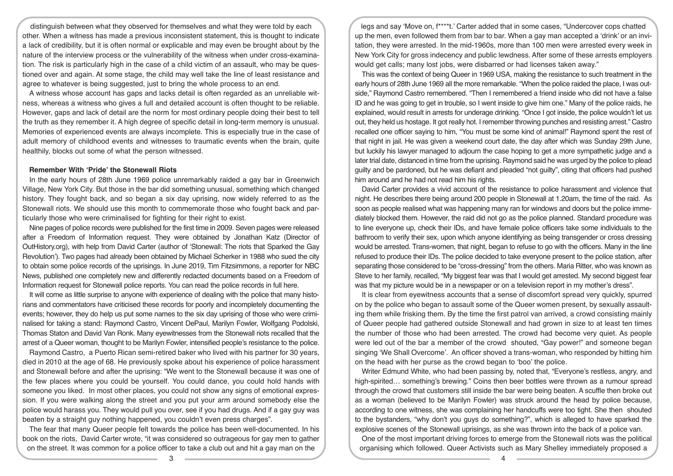distinguish between what they observed for themselves and what they were told by each other. When a witness has made a previous inconsistent statement, this is thought to indicate a lack of credibility, but it is often normal or explicable and may even be brought about by the nature of the interview process or the vulnerability of the witness when under cross-examination. The risk is particularly high in the case of a child victim of an assault, who may be questioned over and again. At some stage, the child may well take the line of least resistance and agree to whatever is being suggested, just to bring the whole process to an end.

A witness whose account has gaps and lacks detail is often regarded as an unreliable witness, whereas a witness who gives a full and detailed account is often thought to be reliable. However, gaps and lack of detail are the norm for most ordinary people doing their best to tell the truth as they remember it. A high degree of specific detail in long-term memory is unusual. Memories of experienced events are always incomplete. This is especially true in the case of adult memory of childhood events and witnesses to traumatic events when the brain, quite healthily, blocks out some of what the person witnessed.

### **Remember With 'Pride' the Stonewall Riots**

In the early hours of 28th June 1969 police unremarkably raided a gay bar in Greenwich Village, New York City. But those in the bar did something unusual, something which changed history. They fought back, and so began a six day uprising, now widely referred to as the Stonewall riots. We should use this month to commemorate those who fought back and particularly those who were criminalised for fighting for their right to exist.

Nine pages of police records were published for the first time in 2009. Seven pages were released after a Freedom of Information request. They were obtained by Jonathan Katz (Director of OutHistory.org), with help from David Carter (author of 'Stonewall: The riots that Sparked the Gay Revolution'). Two pages had already been obtained by Michael Scherker in 1988 who sued the city to obtain some police records of the uprisings. In June 2019, Tim Fitzsimmons, a reporter for NBC News, published one completely new and differently redacted documents based on a Freedom of Information request for Stonewall police reports. You can read the police records in full here.

It will come as little surprise to anyone with experience of dealing with the police that many historians and commentators have criticised these records for poorly and incompletely documenting the events; however, they do help us put some names to the six day uprising of those who were criminalised for taking a stand: Raymond Castro, Vincent DePaul, Marilyn Fowler, Wolfgang Podolski, Thomas Staton and David Van Ronk. Many eyewitnesses from the Stonewall riots recalled that the arrest of a Queer woman, thought to be Marilyn Fowler, intensified people's resistance to the police.

Raymond Castro, a Puerto Rican semi-retired baker who lived with his partner for 30 years, died in 2010 at the age of 68. He previously spoke about his experience of police harassment and Stonewall before and after the uprising: "We went to the Stonewall because it was one of the few places where you could be yourself. You could dance, you could hold hands with someone you liked. In most other places, you could not show any signs of emotional expression. If you were walking along the street and you put your arm around somebody else the police would harass you. They would pull you over, see if you had drugs. And if a gay guy was beaten by a straight guy nothing happened, you couldn't even press charges".

The fear that many Queer people felt towards the police has been well-documented. In his book on the riots, David Carter wrote, "it was considered so outrageous for gay men to gather on the street. It was common for a police officer to take a club out and hit a gay man on the

legs and say 'Move on, f\*\*\*\*t.' Carter added that in some cases, "Undercover cops chatted up the men, even followed them from bar to bar. When a gay man accepted a 'drink' or an invitation, they were arrested. In the mid-1960s, more than 100 men were arrested every week in New York City for gross indecency and public lewdness. After some of these arrests employers would get calls; many lost jobs, were disbarred or had licenses taken away."

This was the context of being Queer in 1969 USA, making the resistance to such treatment in the early hours of 28th June 1969 all the more remarkable. "When the police raided the place, I was outside," Raymond Castro remembered. "Then I remembered a friend inside who did not have a false ID and he was going to get in trouble, so I went inside to give him one." Many of the police raids, he explained, would result in arrests for underage drinking. "Once I got inside, the police wouldn't let us out, they held us hostage. It got really hot. I remember throwing punches and resisting arrest." Castro recalled one officer saying to him, "You must be some kind of animal!" Raymond spent the rest of that night in jail. He was given a weekend court date, the day after which was Sunday 29th June, but luckily his lawyer managed to adjourn the case hoping to get a more sympathetic judge and a later trial date, distanced in time from the uprising. Raymond said he was urged by the police to plead guilty and be pardoned, but he was defiant and pleaded "not guilty", citing that officers had pushed him around and he had not read him his rights.

David Carter provides a vivid account of the resistance to police harassment and violence that night. He describes there being around 200 people in Stonewall at 1.20am, the time of the raid. As soon as people realised what was happening many ran for windows and doors but the police immediately blocked them. However, the raid did not go as the police planned. Standard procedure was to line everyone up, check their IDs, and have female police officers take some individuals to the bathroom to verify their sex, upon which anyone identifying as being transgender or cross dressing would be arrested. Trans-women, that night, began to refuse to go with the officers. Many in the line refused to produce their IDs. The police decided to take everyone present to the police station, after separating those considered to be "cross-dressing" from the others. Maria Ritter, who was known as Steve to her family, recalled, "My biggest fear was that I would get arrested. My second biggest fear was that my picture would be in a newspaper or on a television report in my mother's dress".

It is clear from eyewitness accounts that a sense of discomfort spread very quickly, spurred on by the police who began to assault some of the Queer women present, by sexually assaulting them while frisking them. By the time the first patrol van arrived, a crowd consisting mainly of Queer people had gathered outside Stonewall and had grown in size to at least ten times the number of those who had been arrested. The crowd had become very quiet. As people were led out of the bar a member of the crowd shouted, "Gay power!" and someone began singing 'We Shall Overcome'. An officer shoved a trans-woman, who responded by hitting him on the head with her purse as the crowd began to 'boo' the police.

Writer Edmund White, who had been passing by, noted that, "Everyone's restless, angry, and high-spirited… something's brewing." Coins then beer bottles were thrown as a rumour spread through the crowd that customers still inside the bar were being beaten. A scuffle then broke out as a woman (believed to be Marilyn Fowler) was struck around the head by police because, according to one witness, she was complaining her handcuffs were too tight. She then shouted to the bystanders, "why don't you guys do something?", which is alleged to have sparked the explosive scenes of the Stonewall uprisings, as she was thrown into the back of a police van.

One of the most important driving forces to emerge from the Stonewall riots was the political organising which followed. Queer Activists such as Mary Shelley immediately proposed a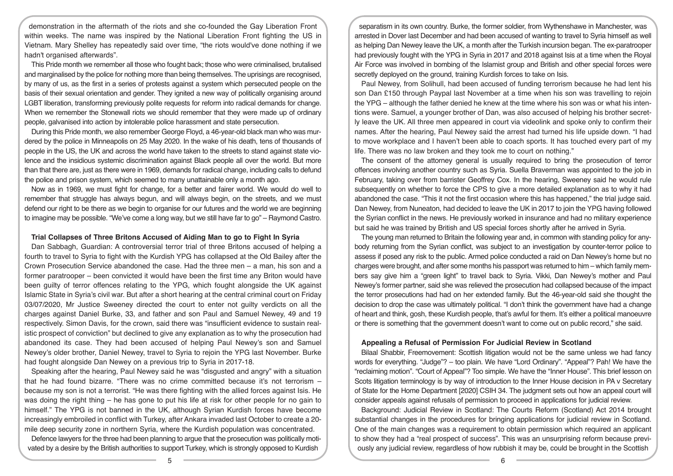demonstration in the aftermath of the riots and she co-founded the Gay Liberation Front within weeks. The name was inspired by the National Liberation Front fighting the US in Vietnam. Mary Shelley has repeatedly said over time, "the riots would've done nothing if we hadn't organised afterwards".

This Pride month we remember all those who fought back; those who were criminalised, brutalised and marginalised by the police for nothing more than being themselves. The uprisings are recognised, by many of us, as the first in a series of protests against a system which persecuted people on the basis of their sexual orientation and gender. They ignited a new way of politically organising around LGBT liberation, transforming previously polite requests for reform into radical demands for change. When we remember the Stonewall riots we should remember that they were made up of ordinary people, galvanised into action by intolerable police harassment and state persecution.

During this Pride month, we also remember George Floyd, a 46-year-old black man who was murdered by the police in Minneapolis on 25 May 2020. In the wake of his death, tens of thousands of people in the US, the UK and across the world have taken to the streets to stand against state violence and the insidious systemic discrimination against Black people all over the world. But more than that there are, just as there were in 1969, demands for radical change, including calls to defund the police and prison system, which seemed to many unattainable only a month ago.

Now as in 1969, we must fight for change, for a better and fairer world. We would do well to remember that struggle has always begun, and will always begin, on the streets, and we must defend our right to be there as we begin to organise for our futures and the world we are beginning to imagine may be possible. "We've come a long way, but we still have far to go" – Raymond Castro.

#### **Trial Collapses of Three Britons Accused of Aiding Man to go to Fight In Syria**

Dan Sabbagh, Guardian: A controversial terror trial of three Britons accused of helping a fourth to travel to Syria to fight with the Kurdish YPG has collapsed at the Old Bailey after the Crown Prosecution Service abandoned the case. Had the three men – a man, his son and a former paratrooper – been convicted it would have been the first time any Briton would have been guilty of terror offences relating to the YPG, which fought alongside the UK against Islamic State in Syria's civil war. But after a short hearing at the central criminal court on Friday 03/07/2020, Mr Justice Sweeney directed the court to enter not guilty verdicts on all the charges against Daniel Burke, 33, and father and son Paul and Samuel Newey, 49 and 19 respectively. Simon Davis, for the crown, said there was "insufficient evidence to sustain realistic prospect of conviction" but declined to give any explanation as to why the prosecution had abandoned its case. They had been accused of helping Paul Newey's son and Samuel Newey's older brother, Daniel Newey, travel to Syria to rejoin the YPG last November. Burke had fought alongside Dan Newey on a previous trip to Syria in 2017-18.

Speaking after the hearing, Paul Newey said he was "disgusted and angry" with a situation that he had found bizarre. "There was no crime committed because it's not terrorism – because my son is not a terrorist. "He was there fighting with the allied forces against Isis. He was doing the right thing – he has gone to put his life at risk for other people for no gain to himself." The YPG is not banned in the UK, although Syrian Kurdish forces have become increasingly embroiled in conflict with Turkey, after Ankara invaded last October to create a 20 mile deep security zone in northern Syria, where the Kurdish population was concentrated.

Defence lawyers for the three had been planning to argue that the prosecution was politically motivated by a desire by the British authorities to support Turkey, which is strongly opposed to Kurdish

separatism in its own country. Burke, the former soldier, from Wythenshawe in Manchester, was arrested in Dover last December and had been accused of wanting to travel to Syria himself as well as helping Dan Newey leave the UK, a month after the Turkish incursion began. The ex-paratrooper had previously fought with the YPG in Syria in 2017 and 2018 against Isis at a time when the Royal Air Force was involved in bombing of the Islamist group and British and other special forces were secretly deployed on the ground, training Kurdish forces to take on Isis.

Paul Newey, from Solihull, had been accused of funding terrorism because he had lent his son Dan £150 through Paypal last November at a time when his son was travelling to rejoin the YPG – although the father denied he knew at the time where his son was or what his intentions were. Samuel, a younger brother of Dan, was also accused of helping his brother secretly leave the UK. All three men appeared in court via videolink and spoke only to confirm their names. After the hearing, Paul Newey said the arrest had turned his life upside down. "I had to move workplace and I haven't been able to coach sports. It has touched every part of my life. There was no law broken and they took me to court on nothing."

The consent of the attorney general is usually required to bring the prosecution of terror offences involving another country such as Syria. Suella Braverman was appointed to the job in February, taking over from barrister Geoffrey Cox. In the hearing, Sweeney said he would rule subsequently on whether to force the CPS to give a more detailed explanation as to why it had abandoned the case. "This it not the first occasion where this has happened," the trial judge said. Dan Newey, from Nuneaton, had decided to leave the UK in 2017 to join the YPG having followed the Syrian conflict in the news. He previously worked in insurance and had no military experience but said he was trained by British and US special forces shortly after he arrived in Syria.

The young man returned to Britain the following year and, in common with standing policy for anybody returning from the Syrian conflict, was subject to an investigation by counter-terror police to assess if posed any risk to the public. Armed police conducted a raid on Dan Newey's home but no charges were brought, and after some months his passport was returned to him – which family members say give him a "green light" to travel back to Syria. Vikki, Dan Newey's mother and Paul Newey's former partner, said she was relieved the prosecution had collapsed because of the impact the terror prosecutions had had on her extended family. But the 46-year-old said she thought the decision to drop the case was ultimately political. "I don't think the government have had a change of heart and think, gosh, these Kurdish people, that's awful for them. It's either a political manoeuvre or there is something that the government doesn't want to come out on public record," she said.

#### **Appealing a Refusal of Permission For Judicial Review in Scotland**

Bilaal Shabbir, Freemovement: Scottish litigation would not be the same unless we had fancy words for everything. "Judge"? – too plain. We have "Lord Ordinary". "Appeal"? Pah! We have the "reclaiming motion". "Court of Appeal"? Too simple. We have the "Inner House". This brief lesson on Scots litigation terminology is by way of introduction to the Inner House decision in PA v Secretary of State for the Home Department [2020] CSIH 34. The judgment sets out how an appeal court will consider appeals against refusals of permission to proceed in applications for judicial review.

Background: Judicial Review in Scotland: The Courts Reform (Scotland) Act 2014 brought substantial changes in the procedures for bringing applications for judicial review in Scotland. One of the main changes was a requirement to obtain permission which required an applicant to show they had a "real prospect of success". This was an unsurprising reform because previously any judicial review, regardless of how rubbish it may be, could be brought in the Scottish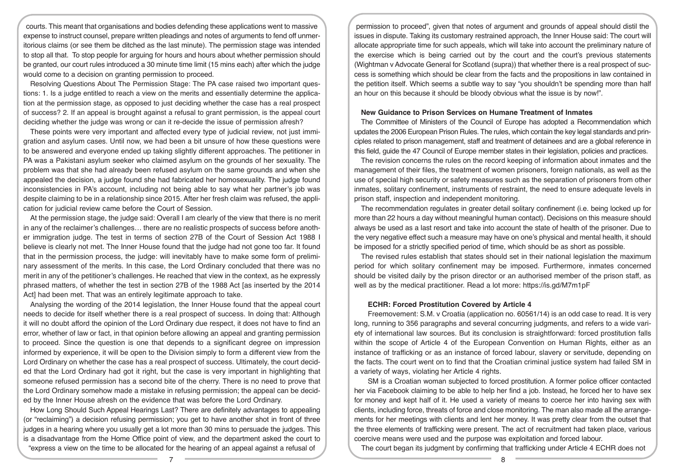courts. This meant that organisations and bodies defending these applications went to massive expense to instruct counsel, prepare written pleadings and notes of arguments to fend off unmeritorious claims (or see them be ditched as the last minute). The permission stage was intended to stop all that. To stop people for arguing for hours and hours about whether permission should be granted, our court rules introduced a 30 minute time limit (15 mins each) after which the judge would come to a decision on granting permission to proceed.

Resolving Questions About The Permission Stage: The PA case raised two important questions: 1. Is a judge entitled to reach a view on the merits and essentially determine the application at the permission stage, as opposed to just deciding whether the case has a real prospect of success? 2. If an appeal is brought against a refusal to grant permission, is the appeal court deciding whether the judge was wrong or can it re-decide the issue of permission afresh?

These points were very important and affected every type of judicial review, not just immigration and asylum cases. Until now, we had been a bit unsure of how these questions were to be answered and everyone ended up taking slightly different approaches. The petitioner in PA was a Pakistani asylum seeker who claimed asylum on the grounds of her sexuality. The problem was that she had already been refused asylum on the same grounds and when she appealed the decision, a judge found she had fabricated her homosexuality. The judge found inconsistencies in PA's account, including not being able to say what her partner's job was despite claiming to be in a relationship since 2015. After her fresh claim was refused, the application for judicial review came before the Court of Session.

At the permission stage, the judge said: Overall I am clearly of the view that there is no merit in any of the reclaimer's challenges… there are no realistic prospects of success before another immigration judge. The test in terms of section 27B of the Court of Session Act 1988 I believe is clearly not met. The Inner House found that the judge had not gone too far. It found that in the permission process, the judge: will inevitably have to make some form of preliminary assessment of the merits. In this case, the Lord Ordinary concluded that there was no merit in any of the petitioner's challenges. He reached that view in the context, as he expressly phrased matters, of whether the test in section 27B of the 1988 Act [as inserted by the 2014 Act] had been met. That was an entirely legitimate approach to take.

Analysing the wording of the 2014 legislation, the Inner House found that the appeal court needs to decide for itself whether there is a real prospect of success. In doing that: Although it will no doubt afford the opinion of the Lord Ordinary due respect, it does not have to find an error, whether of law or fact, in that opinion before allowing an appeal and granting permission to proceed. Since the question is one that depends to a significant degree on impression informed by experience, it will be open to the Division simply to form a different view from the Lord Ordinary on whether the case has a real prospect of success. Ultimately, the court decided that the Lord Ordinary had got it right, but the case is very important in highlighting that someone refused permission has a second bite of the cherry. There is no need to prove that the Lord Ordinary somehow made a mistake in refusing permission; the appeal can be decided by the Inner House afresh on the evidence that was before the Lord Ordinary.

How Long Should Such Appeal Hearings Last? There are definitely advantages to appealing (or "reclaiming") a decision refusing permission; you get to have another shot in front of three judges in a hearing where you usually get a lot more than 30 mins to persuade the judges. This is a disadvantage from the Home Office point of view, and the department asked the court to "express a view on the time to be allocated for the hearing of an appeal against a refusal of

permission to proceed", given that notes of argument and grounds of appeal should distil the issues in dispute. Taking its customary restrained approach, the Inner House said: The court will allocate appropriate time for such appeals, which will take into account the preliminary nature of the exercise which is being carried out by the court and the court's previous statements (Wightman v Advocate General for Scotland (supra)) that whether there is a real prospect of success is something which should be clear from the facts and the propositions in law contained in the petition itself. Which seems a subtle way to say "you shouldn't be spending more than half an hour on this because it should be bloody obvious what the issue is by now!".

## **New Guidance to Prison Services on Humane Treatment of Inmates**

The Committee of Ministers of the Council of Europe has adopted a Recommendation which updates the 2006 European Prison Rules. The rules, which contain the key legal standards and principles related to prison management, staff and treatment of detainees and are a global reference in this field, guide the 47 Council of Europe member states in their legislation, policies and practices.

The revision concerns the rules on the record keeping of information about inmates and the management of their files, the treatment of women prisoners, foreign nationals, as well as the use of special high security or safety measures such as the separation of prisoners from other inmates, solitary confinement, instruments of restraint, the need to ensure adequate levels in prison staff, inspection and independent monitoring.

The recommendation regulates in greater detail solitary confinement (i.e. being locked up for more than 22 hours a day without meaningful human contact). Decisions on this measure should always be used as a last resort and take into account the state of health of the prisoner. Due to the very negative effect such a measure may have on one's physical and mental health, it should be imposed for a strictly specified period of time, which should be as short as possible.

The revised rules establish that states should set in their national legislation the maximum period for which solitary confinement may be imposed. Furthermore, inmates concerned should be visited daily by the prison director or an authorised member of the prison staff, as well as by the medical practitioner. Read a lot more: https://is.gd/M7m1pF

### **ECHR: Forced Prostitution Covered by Article 4**

Freemovement: S.M. v Croatia (application no. 60561/14) is an odd case to read. It is very long, running to 356 paragraphs and several concurring judgments, and refers to a wide variety of international law sources. But its conclusion is straightforward: forced prostitution falls within the scope of Article 4 of the European Convention on Human Rights, either as an instance of trafficking or as an instance of forced labour, slavery or servitude, depending on the facts. The court went on to find that the Croatian criminal justice system had failed SM in a variety of ways, violating her Article 4 rights.

SM is a Croatian woman subjected to forced prostitution. A former police officer contacted her via Facebook claiming to be able to help her find a job. Instead, he forced her to have sex for money and kept half of it. He used a variety of means to coerce her into having sex with clients, including force, threats of force and close monitoring. The man also made all the arrangements for her meetings with clients and lent her money. It was pretty clear from the outset that the three elements of trafficking were present. The act of recruitment had taken place, various coercive means were used and the purpose was exploitation and forced labour.

The court began its judgment by confirming that trafficking under Article 4 ECHR does not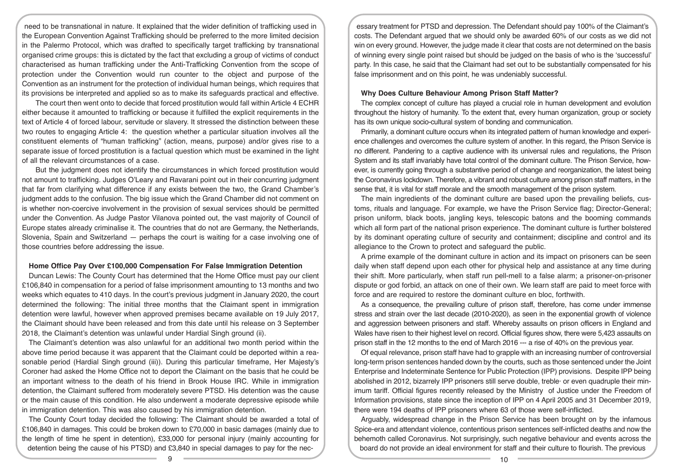need to be transnational in nature. It explained that the wider definition of trafficking used in the European Convention Against Trafficking should be preferred to the more limited decision in the Palermo Protocol, which was drafted to specifically target trafficking by transnational organised crime groups: this is dictated by the fact that excluding a group of victims of conduct characterised as human trafficking under the Anti-Trafficking Convention from the scope of protection under the Convention would run counter to the object and purpose of the Convention as an instrument for the protection of individual human beings, which requires that its provisions be interpreted and applied so as to make its safeguards practical and effective.

The court then went onto to decide that forced prostitution would fall within Article 4 ECHR either because it amounted to trafficking or because it fulfilled the explicit requirements in the text of Article 4 of forced labour, servitude or slavery. It stressed the distinction between these two routes to engaging Article 4: the question whether a particular situation involves all the constituent elements of "human trafficking" (action, means, purpose) and/or gives rise to a separate issue of forced prostitution is a factual question which must be examined in the light of all the relevant circumstances of a case.

But the judgment does not identify the circumstances in which forced prostitution would not amount to trafficking. Judges O'Leary and Ravarani point out in their concurring judgment that far from clarifying what difference if any exists between the two, the Grand Chamber's judgment adds to the confusion. The big issue which the Grand Chamber did not comment on is whether non-coercive involvement in the provision of sexual services should be permitted under the Convention. As Judge Pastor Vilanova pointed out, the vast majority of Council of Europe states already criminalise it. The countries that do not are Germany, the Netherlands, Slovenia, Spain and Switzerland — perhaps the court is waiting for a case involving one of those countries before addressing the issue.

# **Home Office Pay Over £100,000 Compensation For False Immigration Detention**

Duncan Lewis: The County Court has determined that the Home Office must pay our client £106,840 in compensation for a period of false imprisonment amounting to 13 months and two weeks which equates to 410 days. In the court's previous judgment in January 2020, the court determined the following: The initial three months that the Claimant spent in immigration detention were lawful, however when approved premises became available on 19 July 2017, the Claimant should have been released and from this date until his release on 3 September 2018, the Claimant's detention was unlawful under Hardial Singh ground (ii).

The Claimant's detention was also unlawful for an additional two month period within the above time period because it was apparent that the Claimant could be deported within a reasonable period (Hardial Singh ground (iii)). During this particular timeframe, Her Majesty's Coroner had asked the Home Office not to deport the Claimant on the basis that he could be an important witness to the death of his friend in Brook House IRC. While in immigration detention, the Claimant suffered from moderately severe PTSD. His detention was the cause or the main cause of this condition. He also underwent a moderate depressive episode while in immigration detention. This was also caused by his immigration detention.

The County Court today decided the following: The Claimant should be awarded a total of £106,840 in damages. This could be broken down to £70,000 in basic damages (mainly due to the length of time he spent in detention), £33,000 for personal injury (mainly accounting for detention being the cause of his PTSD) and £3,840 in special damages to pay for the nec-

essary treatment for PTSD and depression. The Defendant should pay 100% of the Claimant's costs. The Defendant argued that we should only be awarded 60% of our costs as we did not win on every ground. However, the judge made it clear that costs are not determined on the basis of winning every single point raised but should be judged on the basis of who is the 'successful' party. In this case, he said that the Claimant had set out to be substantially compensated for his false imprisonment and on this point, he was undeniably successful.

# **Why Does Culture Behaviour Among Prison Staff Matter?**

The complex concept of culture has played a crucial role in human development and evolution throughout the history of humanity. To the extent that, every human organization, group or society has its own unique socio-cultural system of bonding and communication.

Primarily, a dominant culture occurs when its integrated pattern of human knowledge and experience challenges and overcomes the culture system of another. In this regard, the Prison Service is no different. Pandering to a captive audience with its universal rules and regulations, the Prison System and its staff invariably have total control of the dominant culture. The Prison Service, however, is currently going through a substantive period of change and reorganization, the latest being the Coronavirus lockdown. Therefore, a vibrant and robust culture among prison staff matters, in the sense that, it is vital for staff morale and the smooth management of the prison system.

The main ingredients of the dominant culture are based upon the prevailing beliefs, customs, rituals and language. For example, we have the Prison Service flag; Director-General; prison uniform, black boots, jangling keys, telescopic batons and the booming commands which all form part of the national prison experience. The dominant culture is further bolstered by its dominant operating culture of security and containment; discipline and control and its allegiance to the Crown to protect and safeguard the public.

A prime example of the dominant culture in action and its impact on prisoners can be seen daily when staff depend upon each other for physical help and assistance at any time during their shift. More particularly, when staff run pell-mell to a false alarm; a prisoner-on-prisoner dispute or god forbid, an attack on one of their own. We learn staff are paid to meet force with force and are required to restore the dominant culture en bloc, forthwith.

As a consequence, the prevailing culture of prison staff, therefore, has come under immense stress and strain over the last decade (2010-2020), as seen in the exponential growth of violence and aggression between prisoners and staff. Whereby assaults on prison officers in England and Wales have risen to their highest level on record. Official figures show, there were 5,423 assaults on prison staff in the 12 months to the end of March 2016 --- a rise of 40% on the previous year.

Of equal relevance, prison staff have had to grapple with an increasing number of controversial long-term prison sentences handed down by the courts, such as those sentenced under the Joint Enterprise and Indeterminate Sentence for Public Protection (IPP) provisions. Despite IPP being abolished in 2012, bizarrely IPP prisoners still serve double, treble· or even quadruple their minimum tariff. Official figures recently released by the Ministry of Justice under the Freedom of Information provisions, state since the inception of IPP on 4 April 2005 and 31 December 2019, there were 194 deaths of IPP prisoners where 63 of those were self-inflicted.

Arguably, widespread change in the Prison Service has been brought on by the infamous Spice-era and attendant violence, contentious prison sentences self-inflicted deaths and now the behemoth called Coronavirus. Not surprisingly, such negative behaviour and events across the board do not provide an ideal environment for staff and their culture to flourish. The previous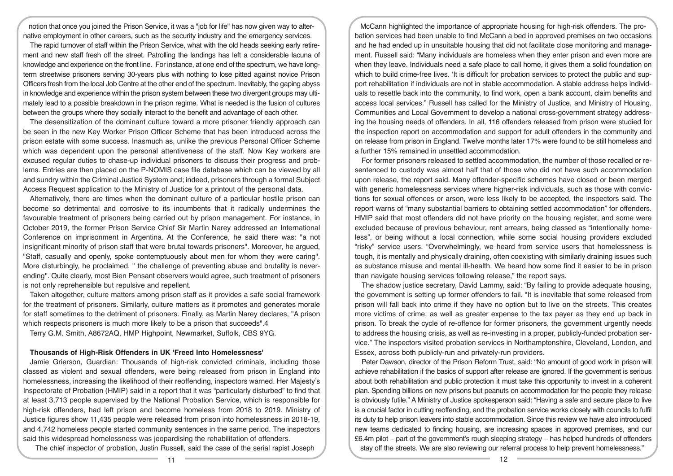notion that once you joined the Prison Service, it was a "job for life" has now given way to alternative employment in other careers, such as the security industry and the emergency services.

The rapid turnover of staff within the Prison Service, what with the old heads seeking early retirement and new staff fresh off the street. Patrolling the landings has left a considerable lacuna of knowledge and experience on the front line. For instance, at one end of the spectrum, we have longterm streetwise prisoners serving 30-years plus with nothing to lose pitted against novice Prison Officers fresh from the local Job Centre at the other end of the spectrum. Inevitably, the gaping abyss in knowledge and experience within the prison system between these two divergent groups may ultimately lead to a possible breakdown in the prison regime. What is needed is the fusion of cultures between the groups where they socially interact to the benefit and advantage of each other.

The desensitization of the dominant culture toward a more prisoner friendly approach can be seen in the new Key Worker Prison Officer Scheme that has been introduced across the prison estate with some success. Inasmuch as, unlike the previous Personal Officer Scheme which was dependent upon the personal attentiveness of the staff. Now Key workers are excused regular duties to chase-up individual prisoners to discuss their progress and problems. Entries are then placed on the P-NOMIS case file database which can be viewed by all and sundry within the Criminal Justice System and; indeed, prisoners through a formal Subject Access Request application to the Ministry of Justice for a printout of the personal data.

Alternatively, there are times when the dominant culture of a particular hostile prison can become so detrimental and corrosive to its incumbents that it radically undermines the favourable treatment of prisoners being carried out by prison management. For instance, in October 2019, the former Prison Service Chief Sir Martin Narey addressed an International Conference on imprisonment in Argentina. At the Conference, he said there was: "a not insignificant minority of prison staff that were brutal towards prisoners". Moreover, he argued, "Staff, casually and openly, spoke contemptuously about men for whom they were caring". More disturbingly, he proclaimed, " the challenge of preventing abuse and brutality is neverending''. Quite clearly, most Bien Pensant observers would agree, such treatment of prisoners is not only reprehensible but repulsive and repellent.

Taken altogether, culture matters among prison staff as it provides a safe social framework for the treatment of prisoners. Similarly, culture matters as it promotes and generates morale for staff sometimes to the detriment of prisoners. Finally, as Martin Narey declares, "A prison which respects prisoners is much more likely to be a prison that succeeds".4

Terry G.M. Smith, A8672AQ, HMP Highpoint, Newmarket, Suffolk, CBS 9YG.

## **Thousands of High-Risk Offenders in UK 'Freed Into Homelessness'**

Jamie Grierson, Guardian: Thousands of high-risk convicted criminals, including those classed as violent and sexual offenders, were being released from prison in England into homelessness, increasing the likelihood of their reoffending, inspectors warned. Her Majesty's Inspectorate of Probation (HMIP) said in a report that it was "particularly disturbed" to find that at least 3,713 people supervised by the National Probation Service, which is responsible for high-risk offenders, had left prison and become homeless from 2018 to 2019. Ministry of Justice figures show 11,435 people were released from prison into homelessness in 2018-19, and 4,742 homeless people started community sentences in the same period. The inspectors said this widespread homelessness was jeopardising the rehabilitation of offenders.

The chief inspector of probation, Justin Russell, said the case of the serial rapist Joseph

McCann highlighted the importance of appropriate housing for high-risk offenders. The probation services had been unable to find McCann a bed in approved premises on two occasions and he had ended up in unsuitable housing that did not facilitate close monitoring and management. Russell said: "Many individuals are homeless when they enter prison and even more are when they leave. Individuals need a safe place to call home, it gives them a solid foundation on which to build crime-free lives. 'It is difficult for probation services to protect the public and support rehabilitation if individuals are not in stable accommodation. A stable address helps individuals to resettle back into the community, to find work, open a bank account, claim benefits and access local services." Russell has called for the Ministry of Justice, and Ministry of Housing, Communities and Local Government to develop a national cross-government strategy addressing the housing needs of offenders. In all, 116 offenders released from prison were studied for the inspection report on accommodation and support for adult offenders in the community and on release from prison in England. Twelve months later 17% were found to be still homeless and a further 15% remained in unsettled accommodation.

For former prisoners released to settled accommodation, the number of those recalled or resentenced to custody was almost half that of those who did not have such accommodation upon release, the report said. Many offender-specific schemes have closed or been merged with generic homelessness services where higher-risk individuals, such as those with convictions for sexual offences or arson, were less likely to be accepted, the inspectors said. The report warns of "many substantial barriers to obtaining settled accommodation" for offenders. HMIP said that most offenders did not have priority on the housing register, and some were excluded because of previous behaviour, rent arrears, being classed as "intentionally homeless", or being without a local connection, while some social housing providers excluded "risky" service users. "Overwhelmingly, we heard from service users that homelessness is tough, it is mentally and physically draining, often coexisting with similarly draining issues such as substance misuse and mental ill-health. We heard how some find it easier to be in prison than navigate housing services following release," the report says.

The shadow justice secretary, David Lammy, said: "By failing to provide adequate housing, the government is setting up former offenders to fail. "It is inevitable that some released from prison will fall back into crime if they have no option but to live on the streets. This creates more victims of crime, as well as greater expense to the tax payer as they end up back in prison. To break the cycle of re-offence for former prisoners, the government urgently needs to address the housing crisis, as well as re-investing in a proper, publicly-funded probation service." The inspectors visited probation services in Northamptonshire, Cleveland, London, and Essex, across both publicly-run and privately-run providers.

Peter Dawson, director of the Prison Reform Trust, said: "No amount of good work in prison will achieve rehabilitation if the basics of support after release are ignored. If the government is serious about both rehabilitation and public protection it must take this opportunity to invest in a coherent plan. Spending billions on new prisons but peanuts on accommodation for the people they release is obviously futile." A Ministry of Justice spokesperson said: "Having a safe and secure place to live is a crucial factor in cutting reoffending, and the probation service works closely with councils to fulfil its duty to help prison leavers into stable accommodation. Since this review we have also introduced new teams dedicated to finding housing, are increasing spaces in approved premises, and our £6.4m pilot – part of the government's rough sleeping strategy – has helped hundreds of offenders stay off the streets. We are also reviewing our referral process to help prevent homelessness."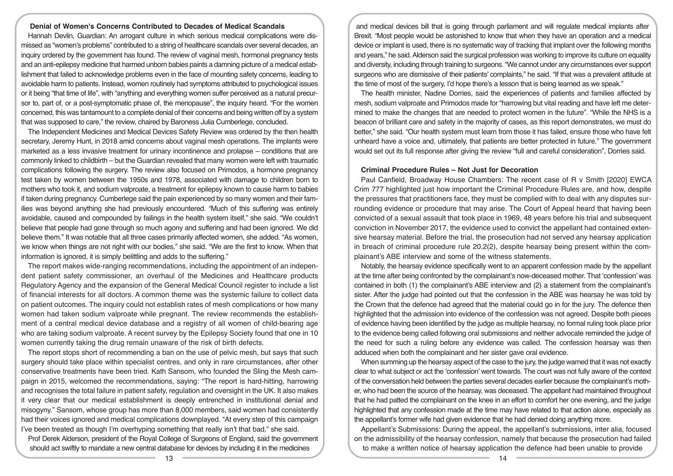# **Denial of Women's Concerns Contributed to Decades of Medical Scandals**

Hannah Devlin, Guardian: An arrogant culture in which serious medical complications were dismissed as "women's problems" contributed to a string of healthcare scandals over several decades, an inquiry ordered by the government has found. The review of vaginal mesh, hormonal pregnancy tests and an anti-epilepsy medicine that harmed unborn babies paints a damning picture of a medical establishment that failed to acknowledge problems even in the face of mounting safety concerns, leading to avoidable harm to patients. Instead, women routinely had symptoms attributed to psychological issues or it being "that time of life", with "anything and everything women suffer perceived as a natural precursor to, part of, or a post-symptomatic phase of, the menopause", the inquiry heard. "For the women concerned, this was tantamount to a complete denial of their concerns and being written off by a system that was supposed to care," the review, chaired by Baroness Julia Cumberlege, concluded.

The Independent Medicines and Medical Devices Safety Review was ordered by the then health secretary, Jeremy Hunt, in 2018 amid concerns about vaginal mesh operations. The implants were marketed as a less invasive treatment for urinary incontinence and prolapse – conditions that are commonly linked to childbirth – but the Guardian revealed that many women were left with traumatic complications following the surgery. The review also focused on Primodos, a hormone pregnancy test taken by women between the 1950s and 1978, associated with damage to children born to mothers who took it, and sodium valproate, a treatment for epilepsy known to cause harm to babies if taken during pregnancy. Cumberlege said the pain experienced by so many women and their families was beyond anything she had previously encountered. "Much of this suffering was entirely avoidable, caused and compounded by failings in the health system itself," she said. "We couldn't believe that people had gone through so much agony and suffering and had been ignored. We did believe them." It was notable that all three cases primarily affected women, she added. "As women, we know when things are not right with our bodies," she said. "We are the first to know. When that information is ignored, it is simply belittling and adds to the suffering."

The report makes wide-ranging recommendations, including the appointment of an independent patient safety commissioner, an overhaul of the Medicines and Healthcare products Regulatory Agency and the expansion of the General Medical Council register to include a list of financial interests for all doctors. A common theme was the systemic failure to collect data on patient outcomes. The inquiry could not establish rates of mesh complications or how many women had taken sodium valproate while pregnant. The review recommends the establishment of a central medical device database and a registry of all women of child-bearing age who are taking sodium valproate. A recent survey by the Epilepsy Society found that one in 10 women currently taking the drug remain unaware of the risk of birth defects.

The report stops short of recommending a ban on the use of pelvic mesh, but says that such surgery should take place within specialist centres, and only in rare circumstances, after other conservative treatments have been tried. Kath Sansom, who founded the Sling the Mesh campaign in 2015, welcomed the recommendations, saying: "The report is hard-hitting, harrowing and recognises the total failure in patient safety, regulation and oversight in the UK. It also makes it very clear that our medical establishment is deeply entrenched in institutional denial and misogyny." Sansom, whose group has more than 8,000 members, said women had consistently had their voices ignored and medical complications downplayed. "At every step of this campaign I've been treated as though I'm overhyping something that really isn't that bad," she said.

Prof Derek Alderson, president of the Royal College of Surgeons of England, said the government should act swiftly to mandate a new central database for devices by including it in the medicines

and medical devices bill that is going through parliament and will regulate medical implants after Brexit. "Most people would be astonished to know that when they have an operation and a medical device or implant is used, there is no systematic way of tracking that implant over the following months and years," he said. Alderson said the surgical profession was working to improve its culture on equality and diversity, including through training to surgeons. "We cannot under any circumstances ever support surgeons who are dismissive of their patients' complaints," he said. "If that was a prevalent attitude at the time of most of the surgery, I'd hope there's a lesson that is being learned as we speak."

The health minister, Nadine Dorries, said the experiences of patients and families affected by mesh, sodium valproate and Primodos made for "harrowing but vital reading and have left me determined to make the changes that are needed to protect women in the future". "While the NHS is a beacon of brilliant care and safety in the majority of cases, as this report demonstrates, we must do better," she said. "Our health system must learn from those it has failed, ensure those who have felt unheard have a voice and, ultimately, that patients are better protected in future." The government would set out its full response after giving the review "full and careful consideration", Dorries said.

#### **Criminal Procedure Rules – Not Just for Decoration**

Paul Canfield, Broadway House Chambers: The recent case of R v Smith [2020] EWCA Crim 777 highlighted just how important the Criminal Procedure Rules are, and how, despite the pressures that practitioners face, they must be complied with to deal with any disputes surrounding evidence or procedure that may arise. The Court of Appeal heard that having been convicted of a sexual assault that took place in 1969, 48 years before his trial and subsequent conviction in November 2017, the evidence used to convict the appellant had contained extensive hearsay material. Before the trial, the prosecution had not served any hearsay application in breach of criminal procedure rule 20.2(2), despite hearsay being present within the complainant's ABE interview and some of the witness statements.

Notably, the hearsay evidence specifically went to an apparent confession made by the appellant at the time after being confronted by the complainant's now-deceased mother. That 'confession' was contained in both (1) the complainant's ABE interview and (2) a statement from the complainant's sister. After the judge had pointed out that the confession in the ABE was hearsay he was told by the Crown that the defence had agreed that the material could go in for the jury. The defence then highlighted that the admission into evidence of the confession was not agreed. Despite both pieces of evidence having been identified by the judge as multiple hearsay, no formal ruling took place prior to the evidence being called following oral submissions and neither advocate reminded the judge of the need for such a ruling before any evidence was called. The confession hearsay was then adduced when both the complainant and her sister gave oral evidence.

When summing up the hearsay aspect of the case to the jury, the judge warned that it was not exactly clear to what subject or act the 'confession' went towards. The court was not fully aware of the context of the conversation held between the parties several decades earlier because the complainant's mother, who had been the source of the hearsay, was deceased. The appellant had maintained throughout that he had patted the complainant on the knee in an effort to comfort her one evening, and the judge highlighted that any confession made at the time may have related to that action alone, especially as the appellant's former wife had given evidence that he had denied doing anything more.

Appellant's Submissions: During the appeal, the appellant's submissions, inter alia, focused on the admissibility of the hearsay confession, namely that because the prosecution had failed to make a written notice of hearsay application the defence had been unable to provide